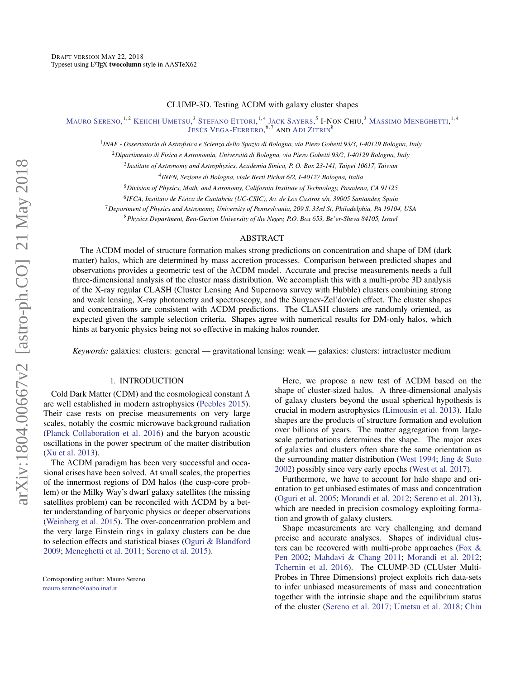# CLUMP-3D. Testing ΛCDM with galaxy cluster shapes

Mauro Sereno, <sup>1, 2</sup> Keiichi Umetsu, <sup>3</sup> Stefano Ettori, <sup>1, 4</sup> Jack Sayers, <sup>5</sup> I-Non Chiu, <sup>3</sup> Massimo Meneghetti, <sup>1, 4</sup> Jesús Vega-Ferrero,<sup>6,7</sup> and Adi Zitrin<sup>8</sup>

1 *INAF - Osservatorio di Astrofisica e Scienza dello Spazio di Bologna, via Piero Gobetti 93/3, I-40129 Bologna, Italy*

<sup>2</sup>*Dipartimento di Fisica e Astronomia, Università di Bologna, via Piero Gobetti 93/2, I-40129 Bologna, Italy*

3 *Institute of Astronomy and Astrophysics, Academia Sinica, P. O. Box 23-141, Taipei 10617, Taiwan*

4 *INFN, Sezione di Bologna, viale Berti Pichat 6/2, I-40127 Bologna, Italia*

<sup>5</sup>*Division of Physics, Math, and Astronomy, California Institute of Technology, Pasadena, CA 91125*

6 *IFCA, Instituto de Física de Cantabria (UC-CSIC), Av. de Los Castros s/n, 39005 Santander, Spain*

<sup>7</sup>*Department of Physics and Astronomy, University of Pennsylvania, 209 S. 33rd St, Philadelphia, PA 19104, USA*

<sup>8</sup>*Physics Department, Ben-Gurion University of the Negev, P.O. Box 653, Be'er-Sheva 84105, Israel*

## ABSTRACT

The ΛCDM model of structure formation makes strong predictions on concentration and shape of DM (dark matter) halos, which are determined by mass accretion processes. Comparison between predicted shapes and observations provides a geometric test of the ΛCDM model. Accurate and precise measurements needs a full three-dimensional analysis of the cluster mass distribution. We accomplish this with a multi-probe 3D analysis of the X-ray regular CLASH (Cluster Lensing And Supernova survey with Hubble) clusters combining strong and weak lensing, X-ray photometry and spectroscopy, and the Sunyaev-Zel'dovich effect. The cluster shapes and concentrations are consistent with ΛCDM predictions. The CLASH clusters are randomly oriented, as expected given the sample selection criteria. Shapes agree with numerical results for DM-only halos, which hints at baryonic physics being not so effective in making halos rounder.

*Keywords:* galaxies: clusters: general — gravitational lensing: weak — galaxies: clusters: intracluster medium

# 1. INTRODUCTION

Cold Dark Matter (CDM) and the cosmological constant Λ are well established in modern astrophysics [\(Peebles](#page-6-0) [2015\)](#page-6-0). Their case rests on precise measurements on very large scales, notably the cosmic microwave background radiation [\(Planck Collaboration et al.](#page-6-1) [2016\)](#page-6-1) and the baryon acoustic oscillations in the power spectrum of the matter distribution [\(Xu et al.](#page-7-0) [2013\)](#page-7-0).

The ΛCDM paradigm has been very successful and occasional crises have been solved. At small scales, the properties of the innermost regions of DM halos (the cusp-core problem) or the Milky Way's dwarf galaxy satellites (the missing satellites problem) can be reconciled with ΛCDM by a better understanding of baryonic physics or deeper observations [\(Weinberg et al.](#page-7-1) [2015\)](#page-7-1). The over-concentration problem and the very large Einstein rings in galaxy clusters can be due to selection effects and statistical biases [\(Oguri & Blandford](#page-6-2) [2009;](#page-6-2) [Meneghetti et al.](#page-6-3) [2011;](#page-6-3) [Sereno et al.](#page-7-2) [2015\)](#page-7-2).

Here, we propose a new test of ΛCDM based on the shape of cluster-sized halos. A three-dimensional analysis of galaxy clusters beyond the usual spherical hypothesis is crucial in modern astrophysics [\(Limousin et al.](#page-6-4) [2013\)](#page-6-4). Halo shapes are the products of structure formation and evolution over billions of years. The matter aggregation from largescale perturbations determines the shape. The major axes of galaxies and clusters often share the same orientation as the surrounding matter distribution [\(West](#page-7-3) [1994;](#page-7-3) [Jing & Suto](#page-6-5) [2002\)](#page-6-5) possibly since very early epochs [\(West et al.](#page-7-4) [2017\)](#page-7-4).

Furthermore, we have to account for halo shape and orientation to get unbiased estimates of mass and concentration [\(Oguri et al.](#page-6-6) [2005;](#page-6-6) [Morandi et al.](#page-6-7) [2012;](#page-6-7) [Sereno et al.](#page-7-5) [2013\)](#page-7-5), which are needed in precision cosmology exploiting formation and growth of galaxy clusters.

Shape measurements are very challenging and demand precise and accurate analyses. Shapes of individual clusters can be recovered with multi-probe approaches [\(Fox &](#page-6-8) [Pen](#page-6-8) [2002;](#page-6-8) [Mahdavi & Chang](#page-6-9) [2011;](#page-6-9) [Morandi et al.](#page-6-7) [2012;](#page-6-7) [Tchernin et al.](#page-7-6) [2016\)](#page-7-6). The CLUMP-3D (CLUster Multi-Probes in Three Dimensions) project exploits rich data-sets to infer unbiased measurements of mass and concentration together with the intrinsic shape and the equilibrium status of the cluster [\(Sereno et al.](#page-6-10) [2017;](#page-6-10) [Umetsu et al.](#page-7-7) [2018;](#page-7-7) [Chiu](#page-6-11)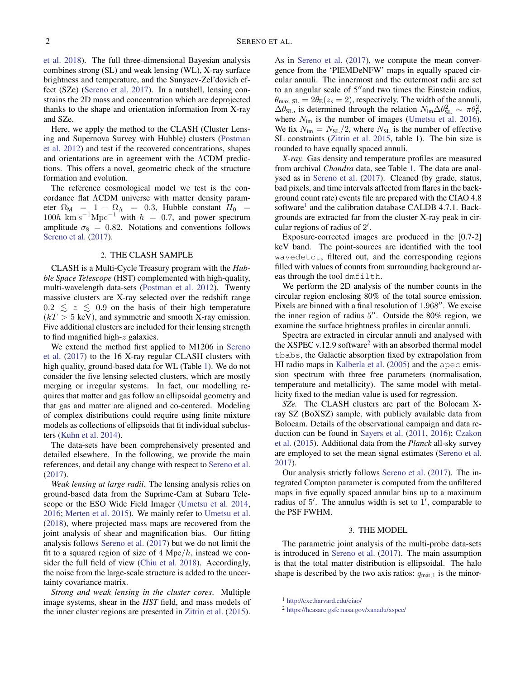[et al.](#page-6-11) [2018\)](#page-6-11). The full three-dimensional Bayesian analysis combines strong (SL) and weak lensing (WL), X-ray surface brightness and temperature, and the Sunyaev-Zel'dovich effect (SZe) [\(Sereno et al.](#page-6-10) [2017\)](#page-6-10). In a nutshell, lensing constrains the 2D mass and concentration which are deprojected thanks to the shape and orientation information from X-ray and SZe.

Here, we apply the method to the CLASH (Cluster Lensing and Supernova Survey with Hubble) clusters [\(Postman](#page-6-12) [et al.](#page-6-12) [2012\)](#page-6-12) and test if the recovered concentrations, shapes and orientations are in agreement with the ΛCDM predictions. This offers a novel, geometric check of the structure formation and evolution.

The reference cosmological model we test is the concordance flat ΛCDM universe with matter density parameter  $\Omega_M$  = 1 –  $\Omega_\Lambda$  = 0.3, Hubble constant  $H_0$  =  $100h$  km s<sup>-1</sup>Mpc<sup>-1</sup> with  $h = 0.7$ , and power spectrum amplitude  $\sigma_8 = 0.82$ . Notations and conventions follows [Sereno et al.](#page-6-10) [\(2017\)](#page-6-10).

### 2. THE CLASH SAMPLE

CLASH is a Multi-Cycle Treasury program with the *Hubble Space Telescope* (HST) complemented with high-quality, multi-wavelength data-sets [\(Postman et al.](#page-6-12) [2012\)](#page-6-12). Twenty massive clusters are X-ray selected over the redshift range  $0.2 \le z \le 0.9$  on the basis of their high temperature  $(kT > 5 \text{ keV})$ , and symmetric and smooth X-ray emission. Five additional clusters are included for their lensing strength to find magnified high- $z$  galaxies.

We extend the method first applied to M1206 in [Sereno](#page-6-10) [et al.](#page-6-10) [\(2017\)](#page-6-10) to the 16 X-ray regular CLASH clusters with high quality, ground-based data for WL (Table [1\)](#page-2-0). We do not consider the five lensing selected clusters, which are mostly merging or irregular systems. In fact, our modelling requires that matter and gas follow an ellipsoidal geometry and that gas and matter are aligned and co-centered. Modeling of complex distributions could require using finite mixture models as collections of ellipsoids that fit individual subclusters [\(Kuhn et al.](#page-6-13) [2014\)](#page-6-13).

The data-sets have been comprehensively presented and detailed elsewhere. In the following, we provide the main references, and detail any change with respect to [Sereno et al.](#page-6-10) [\(2017\)](#page-6-10).

*Weak lensing at large radii*. The lensing analysis relies on ground-based data from the Suprime-Cam at Subaru Telescope or the ESO Wide Field Imager [\(Umetsu et al.](#page-7-8) [2014,](#page-7-8) [2016;](#page-7-9) [Merten et al.](#page-6-14) [2015\)](#page-6-14). We mainly refer to [Umetsu et al.](#page-7-7) [\(2018\)](#page-7-7), where projected mass maps are recovered from the joint analysis of shear and magnification bias. Our fitting analysis follows [Sereno et al.](#page-6-10) [\(2017\)](#page-6-10) but we do not limit the fit to a squared region of size of  $4 \text{ Mpc}/h$ , instead we consider the full field of view [\(Chiu et al.](#page-6-11) [2018\)](#page-6-11). Accordingly, the noise from the large-scale structure is added to the uncertainty covariance matrix.

*Strong and weak lensing in the cluster cores*. Multiple image systems, shear in the *HST* field, and mass models of the inner cluster regions are presented in [Zitrin et al.](#page-7-10) [\(2015\)](#page-7-10). As in [Sereno et al.](#page-6-10) [\(2017\)](#page-6-10), we compute the mean convergence from the 'PIEMDeNFW' maps in equally spaced circular annuli. The innermost and the outermost radii are set to an angular scale of  $5^{\prime\prime}$  and two times the Einstein radius,  $\theta_{\text{max}}$ ,  $_{\text{SL}} = 2\theta_{\text{E}}(z_{\text{s}} = 2)$ , respectively. The width of the annuli,  $\Delta\theta_{\rm SL}$ , is determined through the relation  $N_{\rm im}\Delta\theta_{\rm SL}^2 \sim \pi\theta_{\rm E}^2$ , where  $N_{\text{im}}$  is the number of images [\(Umetsu et al.](#page-7-9) [2016\)](#page-7-9). We fix  $N_{\text{im}} = N_{\text{SL}}/2$ , where  $N_{\text{SL}}$  is the number of effective SL constraints [\(Zitrin et al.](#page-7-10) [2015,](#page-7-10) table 1). The bin size is rounded to have equally spaced annuli.

*X-ray.* Gas density and temperature profiles are measured from archival *Chandra* data, see Table [1.](#page-2-0) The data are analysed as in [Sereno et al.](#page-6-10) [\(2017\)](#page-6-10). Cleaned (by grade, status, bad pixels, and time intervals affected from flares in the background count rate) events file are prepared with the CIAO 4.8 software<sup>[1](#page-1-0)</sup> and the calibration database CALDB 4.7.1. Backgrounds are extracted far from the cluster X-ray peak in circular regions of radius of  $2'$ .

Exposure-corrected images are produced in the [0.7-2] keV band. The point-sources are identified with the tool wavedetct, filtered out, and the corresponding regions filled with values of counts from surrounding background areas through the tool dmfilth.

We perform the 2D analysis of the number counts in the circular region enclosing 80% of the total source emission. Pixels are binned with a final resolution of  $1.968$ ". We excise the inner region of radius 5". Outside the 80% region, we examine the surface brightness profiles in circular annuli.

Spectra are extracted in circular annuli and analysed with the XSPEC v.1[2](#page-1-1).9 software<sup>2</sup> with an absorbed thermal model tbabs, the Galactic absorption fixed by extrapolation from HI radio maps in [Kalberla et al.](#page-6-15) [\(2005\)](#page-6-15) and the apec emission spectrum with three free parameters (normalisation, temperature and metallicity). The same model with metallicity fixed to the median value is used for regression.

*SZe.* The CLASH clusters are part of the Bolocam Xray SZ (BoXSZ) sample, with publicly available data from Bolocam. Details of the observational campaign and data reduction can be found in [Sayers et al.](#page-6-16) [\(2011,](#page-6-16) [2016\)](#page-6-17); [Czakon](#page-6-18) [et al.](#page-6-18) [\(2015\)](#page-6-18). Additional data from the *Planck* all-sky survey are employed to set the mean signal estimates [\(Sereno et al.](#page-6-10) [2017\)](#page-6-10).

Our analysis strictly follows [Sereno et al.](#page-6-10) [\(2017\)](#page-6-10). The integrated Compton parameter is computed from the unfiltered maps in five equally spaced annular bins up to a maximum radius of  $5'$ . The annulus width is set to  $1'$ , comparable to the PSF FWHM.

#### 3. THE MODEL

The parametric joint analysis of the multi-probe data-sets is introduced in [Sereno et al.](#page-6-10) [\(2017\)](#page-6-10). The main assumption is that the total matter distribution is ellipsoidal. The halo shape is described by the two axis ratios:  $q_{\text{mat},1}$  is the minor-

<span id="page-1-0"></span><sup>1</sup> <http://cxc.harvard.edu/ciao/>

<span id="page-1-1"></span><sup>2</sup> <https://heasarc.gsfc.nasa.gov/xanadu/xspec/>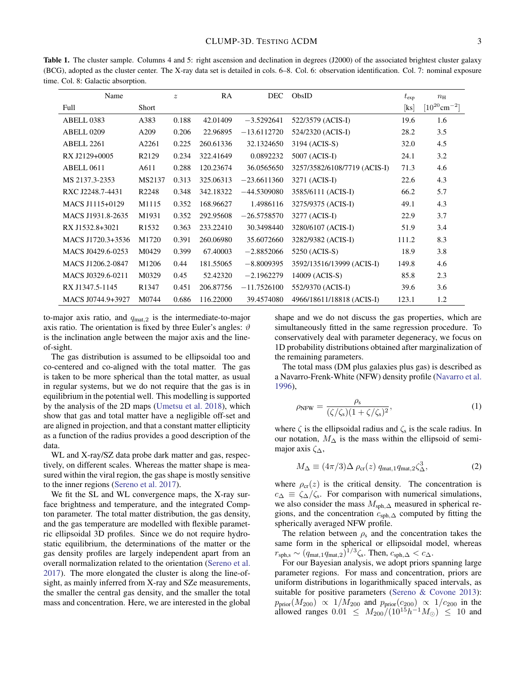<span id="page-2-0"></span>Table 1. The cluster sample. Columns 4 and 5: right ascension and declination in degrees (J2000) of the associated brightest cluster galaxy (BCG), adopted as the cluster center. The X-ray data set is detailed in cols. 6–8. Col. 6: observation identification. Col. 7: nominal exposure time. Col. 8: Galactic absorption.

| Name              |                   | $\boldsymbol{z}$ | <b>RA</b> | <b>DEC</b>    | ObsID                        | $t_{\rm exp}$ | $n_{\rm H}$                   |
|-------------------|-------------------|------------------|-----------|---------------|------------------------------|---------------|-------------------------------|
| Full              | Short             |                  |           |               |                              | [ks]          | $[10^{20}$ cm <sup>-2</sup> ] |
| ABELL 0383        | A383              | 0.188            | 42.01409  | $-3.5292641$  | 522/3579 (ACIS-I)            | 19.6          | 1.6                           |
| ABELL 0209        | A209              | 0.206            | 22.96895  | $-13.6112720$ | 524/2320 (ACIS-I)            | 28.2          | 3.5                           |
| ABELL 2261        | A2261             | 0.225            | 260.61336 | 32.1324650    | 3194 (ACIS-S)                | 32.0          | 4.5                           |
| RX J2129+0005     | R2129             | 0.234            | 322.41649 | 0.0892232     | 5007 (ACIS-I)                | 24.1          | 3.2                           |
| ABELL 0611        | A611              | 0.288            | 120.23674 | 36.0565650    | 3257/3582/6108/7719 (ACIS-I) | 71.3          | 4.6                           |
| MS 2137.3-2353    | MS2137            | 0.313            | 325.06313 | $-23.6611360$ | 3271 (ACIS-I)                | 22.6          | 4.3                           |
| RXC J2248.7-4431  | R <sub>2248</sub> | 0.348            | 342.18322 | $-44.5309080$ | 3585/6111 (ACIS-I)           | 66.2          | 5.7                           |
| MACS J1115+0129   | M1115             | 0.352            | 168.96627 | 1.4986116     | 3275/9375 (ACIS-I)           | 49.1          | 4.3                           |
| MACS J1931.8-2635 | M1931             | 0.352            | 292.95608 | $-26.5758570$ | 3277 (ACIS-I)                | 22.9          | 3.7                           |
| RX J1532.8+3021   | R <sub>1532</sub> | 0.363            | 233.22410 | 30.3498440    | 3280/6107 (ACIS-I)           | 51.9          | 3.4                           |
| MACS J1720.3+3536 | M1720             | 0.391            | 260.06980 | 35.6072660    | 3282/9382 (ACIS-I)           | 111.2         | 8.3                           |
| MACS J0429.6-0253 | M0429             | 0.399            | 67.40003  | $-2.8852066$  | 5250 (ACIS-S)                | 18.9          | 3.8                           |
| MACS J1206.2-0847 | M1206             | 0.44             | 181.55065 | $-8.8009395$  | 3592/13516/13999 (ACIS-I)    | 149.8         | 4.6                           |
| MACS J0329.6-0211 | M0329             | 0.45             | 52.42320  | $-2.1962279$  | 14009 (ACIS-S)               | 85.8          | 2.3                           |
| RX J1347.5-1145   | R <sub>1347</sub> | 0.451            | 206.87756 | $-11.7526100$ | 552/9370 (ACIS-I)            | 39.6          | 3.6                           |
| MACS J0744.9+3927 | M0744             | 0.686            | 116.22000 | 39.4574080    | 4966/18611/18818 (ACIS-I)    | 123.1         | 1.2                           |

to-major axis ratio, and  $q_{\text{mat},2}$  is the intermediate-to-major axis ratio. The orientation is fixed by three Euler's angles:  $\vartheta$ is the inclination angle between the major axis and the lineof-sight.

The gas distribution is assumed to be ellipsoidal too and co-centered and co-aligned with the total matter. The gas is taken to be more spherical than the total matter, as usual in regular systems, but we do not require that the gas is in equilibrium in the potential well. This modelling is supported by the analysis of the 2D maps [\(Umetsu et al.](#page-7-7) [2018\)](#page-7-7), which show that gas and total matter have a negligible off-set and are aligned in projection, and that a constant matter ellipticity as a function of the radius provides a good description of the data.

WL and X-ray/SZ data probe dark matter and gas, respectively, on different scales. Whereas the matter shape is measured within the viral region, the gas shape is mostly sensitive to the inner regions [\(Sereno et al.](#page-6-10) [2017\)](#page-6-10).

We fit the SL and WL convergence maps, the X-ray surface brightness and temperature, and the integrated Compton parameter. The total matter distribution, the gas density, and the gas temperature are modelled with flexible parametric ellipsoidal 3D profiles. Since we do not require hydrostatic equilibrium, the determinations of the matter or the gas density profiles are largely independent apart from an overall normalization related to the orientation [\(Sereno et al.](#page-6-10) [2017\)](#page-6-10). The more elongated the cluster is along the line-ofsight, as mainly inferred from X-ray and SZe measurements, the smaller the central gas density, and the smaller the total mass and concentration. Here, we are interested in the global shape and we do not discuss the gas properties, which are simultaneously fitted in the same regression procedure. To conservatively deal with parameter degeneracy, we focus on 1D probability distributions obtained after marginalization of the remaining parameters.

The total mass (DM plus galaxies plus gas) is described as a Navarro-Frenk-White (NFW) density profile [\(Navarro et al.](#page-6-19) [1996\)](#page-6-19),

$$
\rho_{\text{NFW}} = \frac{\rho_{\text{s}}}{(\zeta/\zeta_{\text{s}})(1 + \zeta/\zeta_{\text{s}})^2},\tag{1}
$$

where  $\zeta$  is the ellipsoidal radius and  $\zeta_s$  is the scale radius. In our notation,  $M_{\Delta}$  is the mass within the ellipsoid of semimajor axis  $\zeta_{\Delta}$ ,

$$
M_{\Delta} \equiv (4\pi/3)\Delta \rho_{\rm cr}(z) \, q_{\rm mat, 1} q_{\rm mat, 2} \zeta_{\Delta}^3,\tag{2}
$$

where  $\rho_{cr}(z)$  is the critical density. The concentration is  $c_{\Delta} \equiv \zeta_{\Delta}/\zeta_s$ . For comparison with numerical simulations, we also consider the mass  $M_{\text{sph},\Delta}$  measured in spherical regions, and the concentration  $c_{\text{sph},\Delta}$  computed by fitting the spherically averaged NFW profile.

The relation between  $\rho_s$  and the concentration takes the same form in the spherical or ellipsoidal model, whereas  $r_{\rm sph,s} \sim (q_{\rm mat,1}q_{\rm mat,2})^{1/3} \zeta_{\rm s}$ . Then,  $c_{\rm sph,\Delta} < c_{\Delta}$ .

For our Bayesian analysis, we adopt priors spanning large parameter regions. For mass and concentration, priors are uniform distributions in logarithmically spaced intervals, as suitable for positive parameters [\(Sereno & Covone](#page-6-20) [2013\)](#page-6-20):  $p_{\text{prior}}(M_{200}) \propto 1/M_{200}$  and  $p_{\text{prior}}(c_{200}) \propto 1/c_{200}$  in the allowed ranges  $0.01 \leq M_{200}/(10^{15}h^{-1}M_{\odot}) \leq 10$  and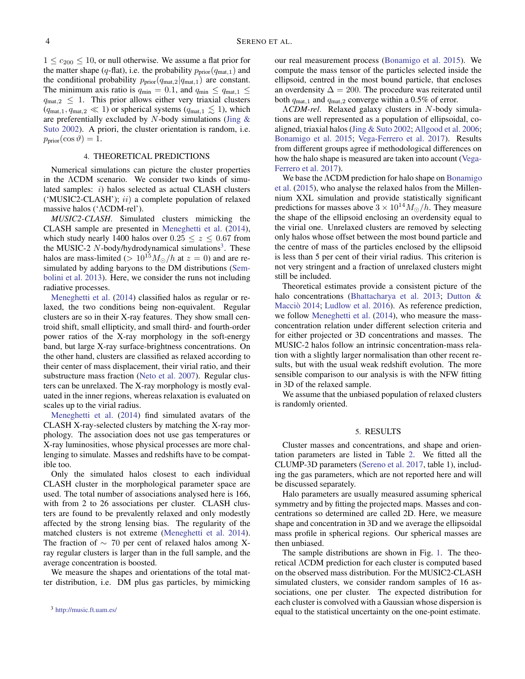$1 \leq c_{200} \leq 10$ , or null otherwise. We assume a flat prior for the matter shape (q-flat), i.e. the probability  $p_{prior}(q_{mat,1})$  and the conditional probability  $p_{prior}(q_{mat,2}|q_{mat,1})$  are constant. The minimum axis ratio is  $q_{\text{min}} = 0.1$ , and  $q_{\text{min}} \le q_{\text{mat},1} \le$  $q_{\text{mat},2} \leq 1$ . This prior allows either very triaxial clusters  $(q_{\text{mat},1}, q_{\text{mat},2} \ll 1)$  or spherical systems  $(q_{\text{mat},1} \leq 1)$ , which are preferentially excluded by  $N$ -body simulations (Jing  $\&$ [Suto](#page-6-5) [2002\)](#page-6-5). A priori, the cluster orientation is random, i.e.  $p_{\text{prior}}(\cos \vartheta) = 1.$ 

# 4. THEORETICAL PREDICTIONS

Numerical simulations can picture the cluster properties in the ΛCDM scenario. We consider two kinds of simulated samples: i) halos selected as actual CLASH clusters ('MUSIC2-CLASH');  $ii)$  a complete population of relaxed massive halos ('ΛCDM-rel').

*MUSIC2-CLASH*. Simulated clusters mimicking the CLASH sample are presented in [Meneghetti et al.](#page-6-21) [\(2014\)](#page-6-21), which study nearly 1400 halos over  $0.25 \le z \le 0.67$  from the MUSIC-2  $N$ -body/hydrodynamical simulations<sup>[3](#page-3-0)</sup>. These halos are mass-limited ( $> 10^{15} M_{\odot}/h$  at  $z = 0$ ) and are resimulated by adding baryons to the DM distributions [\(Sem](#page-6-22)[bolini et al.](#page-6-22) [2013\)](#page-6-22). Here, we consider the runs not including radiative processes.

[Meneghetti et al.](#page-6-21) [\(2014\)](#page-6-21) classified halos as regular or relaxed, the two conditions being non-equivalent. Regular clusters are so in their X-ray features. They show small centroid shift, small ellipticity, and small third- and fourth-order power ratios of the X-ray morphology in the soft-energy band, but large X-ray surface-brightness concentrations. On the other hand, clusters are classified as relaxed according to their center of mass displacement, their virial ratio, and their substructure mass fraction [\(Neto et al.](#page-6-23) [2007\)](#page-6-23). Regular clusters can be unrelaxed. The X-ray morphology is mostly evaluated in the inner regions, whereas relaxation is evaluated on scales up to the virial radius.

[Meneghetti et al.](#page-6-21) [\(2014\)](#page-6-21) find simulated avatars of the CLASH X-ray-selected clusters by matching the X-ray morphology. The association does not use gas temperatures or X-ray luminosities, whose physical processes are more challenging to simulate. Masses and redshifts have to be compatible too.

Only the simulated halos closest to each individual CLASH cluster in the morphological parameter space are used. The total number of associations analysed here is 166, with from 2 to 26 associations per cluster. CLASH clusters are found to be prevalently relaxed and only modestly affected by the strong lensing bias. The regularity of the matched clusters is not extreme [\(Meneghetti et al.](#page-6-21) [2014\)](#page-6-21). The fraction of  $\sim$  70 per cent of relaxed halos among Xray regular clusters is larger than in the full sample, and the average concentration is boosted.

<span id="page-3-0"></span>We measure the shapes and orientations of the total matter distribution, i.e. DM plus gas particles, by mimicking our real measurement process [\(Bonamigo et al.](#page-6-24) [2015\)](#page-6-24). We compute the mass tensor of the particles selected inside the ellipsoid, centred in the most bound particle, that encloses an overdensity  $\Delta = 200$ . The procedure was reiterated until both  $q_{\text{mat},1}$  and  $q_{\text{mat},2}$  converge within a 0.5% of error.

Λ*CDM-rel*. Relaxed galaxy clusters in N-body simulations are well represented as a population of ellipsoidal, coaligned, triaxial halos [\(Jing & Suto](#page-6-5) [2002;](#page-6-5) [Allgood et al.](#page-6-25) [2006;](#page-6-25) [Bonamigo et al.](#page-6-24) [2015;](#page-6-24) [Vega-Ferrero et al.](#page-7-11) [2017\)](#page-7-11). Results from different groups agree if methodological differences on how the halo shape is measured are taken into account [\(Vega-](#page-7-11)[Ferrero et al.](#page-7-11) [2017\)](#page-7-11).

We base the ΛCDM prediction for halo shape on [Bonamigo](#page-6-24) [et al.](#page-6-24) [\(2015\)](#page-6-24), who analyse the relaxed halos from the Millennium XXL simulation and provide statistically significant predictions for masses above  $3 \times 10^{14} M_{\odot}/h$ . They measure the shape of the ellipsoid enclosing an overdensity equal to the virial one. Unrelaxed clusters are removed by selecting only halos whose offset between the most bound particle and the centre of mass of the particles enclosed by the ellipsoid is less than 5 per cent of their virial radius. This criterion is not very stringent and a fraction of unrelaxed clusters might still be included.

Theoretical estimates provide a consistent picture of the halo concentrations [\(Bhattacharya et al.](#page-6-26) [2013;](#page-6-26) [Dutton &](#page-6-27) [Macciò](#page-6-27) [2014;](#page-6-27) [Ludlow et al.](#page-6-28) [2016\)](#page-6-28). As reference prediction, we follow [Meneghetti et al.](#page-6-21) [\(2014\)](#page-6-21), who measure the massconcentration relation under different selection criteria and for either projected or 3D concentrations and masses. The MUSIC-2 halos follow an intrinsic concentration-mass relation with a slightly larger normalisation than other recent results, but with the usual weak redshift evolution. The more sensible comparison to our analysis is with the NFW fitting in 3D of the relaxed sample.

We assume that the unbiased population of relaxed clusters is randomly oriented.

#### 5. RESULTS

Cluster masses and concentrations, and shape and orientation parameters are listed in Table [2.](#page-4-0) We fitted all the CLUMP-3D parameters [\(Sereno et al.](#page-6-10) [2017,](#page-6-10) table 1), including the gas parameters, which are not reported here and will be discussed separately.

Halo parameters are usually measured assuming spherical symmetry and by fitting the projected maps. Masses and concentrations so determined are called 2D. Here, we measure shape and concentration in 3D and we average the ellipsoidal mass profile in spherical regions. Our spherical masses are then unbiased.

The sample distributions are shown in Fig. [1.](#page-5-0) The theoretical ΛCDM prediction for each cluster is computed based on the observed mass distribution. For the MUSIC2-CLASH simulated clusters, we consider random samples of 16 associations, one per cluster. The expected distribution for each cluster is convolved with a Gaussian whose dispersion is equal to the statistical uncertainty on the one-point estimate.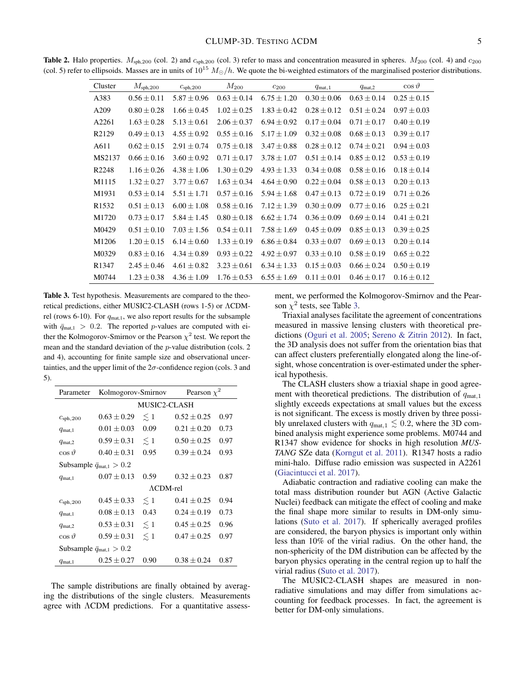**Table 2.** Halo properties.  $M_{\text{sph,200}}$  (col. 2) and  $c_{\text{sph,200}}$  (col. 3) refer to mass and concentration measured in spheres.  $M_{200}$  (col. 4) and  $c_{200}$ (col. 5) refer to ellipsoids. Masses are in units of  $10^{15}$   $M_{\odot}/h$ . We quote the bi-weighted estimators of the marginalised posterior distributions.

<span id="page-4-0"></span>

| Cluster           | $M_{\rm sph,200}$ | $c_{\rm sph,200}$ | $M_{200}$       | $c_{200}$       | $q_{\text{mat}}$ , 1 | $q_{\text{mat},2}$ | $\cos \vartheta$ |
|-------------------|-------------------|-------------------|-----------------|-----------------|----------------------|--------------------|------------------|
| A383              | $0.56 \pm 0.11$   | $5.87 \pm 0.96$   | $0.63 \pm 0.14$ | $6.75 \pm 1.20$ | $0.30 \pm 0.06$      | $0.63 \pm 0.14$    | $0.25 \pm 0.15$  |
| A209              | $0.80 \pm 0.28$   | $1.66 \pm 0.45$   | $1.02 \pm 0.25$ | $1.83 \pm 0.42$ | $0.28 \pm 0.12$      | $0.51 \pm 0.24$    | $0.97 \pm 0.03$  |
| A2261             | $1.63 \pm 0.28$   | $5.13 \pm 0.61$   | $2.06 \pm 0.37$ | $6.94 \pm 0.92$ | $0.17 \pm 0.04$      | $0.71 \pm 0.17$    | $0.40 \pm 0.19$  |
| R2129             | $0.49 \pm 0.13$   | $4.55 \pm 0.92$   | $0.55 \pm 0.16$ | $5.17 \pm 1.09$ | $0.32 \pm 0.08$      | $0.68 \pm 0.13$    | $0.39 \pm 0.17$  |
| A611              | $0.62 \pm 0.15$   | $2.91 \pm 0.74$   | $0.75 \pm 0.18$ | $3.47 \pm 0.88$ | $0.28 \pm 0.12$      | $0.74 \pm 0.21$    | $0.94 \pm 0.03$  |
| MS2137            | $0.66 \pm 0.16$   | $3.60 \pm 0.92$   | $0.71 \pm 0.17$ | $3.78 \pm 1.07$ | $0.51 \pm 0.14$      | $0.85 \pm 0.12$    | $0.53 \pm 0.19$  |
| R2248             | $1.16 \pm 0.26$   | $4.38 \pm 1.06$   | $1.30 \pm 0.29$ | $4.93 \pm 1.33$ | $0.34 \pm 0.08$      | $0.58 \pm 0.16$    | $0.18 \pm 0.14$  |
| M1115             | $1.32 \pm 0.27$   | $3.77 \pm 0.67$   | $1.63 \pm 0.34$ | $4.64 \pm 0.90$ | $0.22 \pm 0.04$      | $0.58 \pm 0.13$    | $0.20 \pm 0.13$  |
| M1931             | $0.53 \pm 0.14$   | $5.51 \pm 1.71$   | $0.57 \pm 0.16$ | $5.94 \pm 1.68$ | $0.47 \pm 0.13$      | $0.72 \pm 0.19$    | $0.71 \pm 0.26$  |
| R <sub>1532</sub> | $0.51 \pm 0.13$   | $6.00 \pm 1.08$   | $0.58 \pm 0.16$ | $7.12 \pm 1.39$ | $0.30 \pm 0.09$      | $0.77 \pm 0.16$    | $0.25 \pm 0.21$  |
| M1720             | $0.73 \pm 0.17$   | $5.84 \pm 1.45$   | $0.80 \pm 0.18$ | $6.62 \pm 1.74$ | $0.36 \pm 0.09$      | $0.69 \pm 0.14$    | $0.41 \pm 0.21$  |
| M0429             | $0.51 \pm 0.10$   | $7.03 \pm 1.56$   | $0.54 \pm 0.11$ | $7.58 \pm 1.69$ | $0.45 \pm 0.09$      | $0.85 \pm 0.13$    | $0.39 \pm 0.25$  |
| M1206             | $1.20 \pm 0.15$   | $6.14 \pm 0.60$   | $1.33 \pm 0.19$ | $6.86 \pm 0.84$ | $0.33 \pm 0.07$      | $0.69 \pm 0.13$    | $0.20 \pm 0.14$  |
| M0329             | $0.83 \pm 0.16$   | $4.34 \pm 0.89$   | $0.93 \pm 0.22$ | $4.92 \pm 0.97$ | $0.33 \pm 0.10$      | $0.58 \pm 0.19$    | $0.65 \pm 0.22$  |
| R <sub>1347</sub> | $2.45 \pm 0.46$   | $4.61 \pm 0.82$   | $3.23 \pm 0.61$ | $6.34 \pm 1.33$ | $0.15 \pm 0.03$      | $0.66 \pm 0.24$    | $0.50 \pm 0.19$  |
| M0744             | $1.23 \pm 0.38$   | $4.36 \pm 1.09$   | $1.76 \pm 0.53$ | $6.55 \pm 1.69$ | $0.11 \pm 0.01$      | $0.46 \pm 0.17$    | $0.16 \pm 0.12$  |

<span id="page-4-1"></span>Table 3. Test hypothesis. Measurements are compared to the theoretical predictions, either MUSIC2-CLASH (rows 1-5) or ΛCDMrel (rows 6-10). For  $q_{\text{mat},1}$ , we also report results for the subsample with  $\bar{q}_{\text{mat,1}} > 0.2$ . The reported p-values are computed with either the Kolmogorov-Smirnov or the Pearson  $\chi^2$  test. We report the mean and the standard deviation of the p-value distribution (cols. 2 and 4), accounting for finite sample size and observational uncertainties, and the upper limit of the  $2\sigma$ -confidence region (cols. 3 and 5).

| Parameter                                | Kolmogorov-Smirnov |              | Pearson $\chi^2$ |      |  |  |  |  |
|------------------------------------------|--------------------|--------------|------------------|------|--|--|--|--|
|                                          | MUSIC2-CLASH       |              |                  |      |  |  |  |  |
| $c_{\rm sph,200}$                        | $0.63 \pm 0.29$    | $\lesssim 1$ | $0.52 \pm 0.25$  | 0.97 |  |  |  |  |
| $q_{\text{mat},1}$                       | $0.01 \pm 0.03$    | 0.09         | $0.21 \pm 0.20$  | 0.73 |  |  |  |  |
| $q_{\text{mat},2}$                       | $0.59 \pm 0.31$    | $\lesssim$ 1 | $0.50 \pm 0.25$  | 0.97 |  |  |  |  |
| $\cos \vartheta$                         | $0.40 \pm 0.31$    | 0.95         | $0.39 \pm 0.24$  | 0.93 |  |  |  |  |
| Subsample $\bar{q}_{\text{mat},1} > 0.2$ |                    |              |                  |      |  |  |  |  |
| $q_{\text{mat}}$ .1                      | $0.07 \pm 0.13$    | 0.59         | $0.32 \pm 0.23$  | 0.87 |  |  |  |  |
|                                          | $\Lambda$ CDM-rel  |              |                  |      |  |  |  |  |
| C <sub>sph</sub> , 200                   | $0.45 \pm 0.33$    | $\lesssim 1$ | $0.41 \pm 0.25$  | 0.94 |  |  |  |  |
| $q_{\text{mat},1}$                       | $0.08 + 0.13$      | 0.43         | $0.24 \pm 0.19$  | 0.73 |  |  |  |  |
| $q_{\text{mat},2}$                       | $0.53 \pm 0.31$    | $\leq 1$     | $0.45 \pm 0.25$  | 0.96 |  |  |  |  |
| $\cos \vartheta$                         | $0.59 \pm 0.31$    | $\lesssim$ 1 | $0.47 \pm 0.25$  | 0.97 |  |  |  |  |
| Subsample $\bar{q}_{\text{mat},1} > 0.2$ |                    |              |                  |      |  |  |  |  |
| $q_{\text{mat},1}$                       | $0.25 + 0.27$      | 0.90         | $0.38 \pm 0.24$  | 0.87 |  |  |  |  |

The sample distributions are finally obtained by averaging the distributions of the single clusters. Measurements agree with ΛCDM predictions. For a quantitative assessment, we performed the Kolmogorov-Smirnov and the Pearson  $\chi^2$  tests, see Table [3.](#page-4-1)

Triaxial analyses facilitate the agreement of concentrations measured in massive lensing clusters with theoretical predictions [\(Oguri et al.](#page-6-6) [2005;](#page-6-6) [Sereno & Zitrin](#page-7-12) [2012\)](#page-7-12). In fact, the 3D analysis does not suffer from the orientation bias that can affect clusters preferentially elongated along the line-ofsight, whose concentration is over-estimated under the spherical hypothesis.

The CLASH clusters show a triaxial shape in good agreement with theoretical predictions. The distribution of  $q_{\text{mat},1}$ slightly exceeds expectations at small values but the excess is not significant. The excess is mostly driven by three possibly unrelaxed clusters with  $q_{\text{mat},1} \lesssim 0.2$ , where the 3D combined analysis might experience some problems. M0744 and R1347 show evidence for shocks in high resolution *MUS-TANG* SZe data [\(Korngut et al.](#page-6-29) [2011\)](#page-6-29). R1347 hosts a radio mini-halo. Diffuse radio emission was suspected in A2261 [\(Giacintucci et al.](#page-6-30) [2017\)](#page-6-30).

Adiabatic contraction and radiative cooling can make the total mass distribution rounder but AGN (Active Galactic Nuclei) feedback can mitigate the effect of cooling and make the final shape more similar to results in DM-only simulations [\(Suto et al.](#page-7-13) [2017\)](#page-7-13). If spherically averaged profiles are considered, the baryon physics is important only within less than 10% of the virial radius. On the other hand, the non-sphericity of the DM distribution can be affected by the baryon physics operating in the central region up to half the virial radius [\(Suto et al.](#page-7-13) [2017\)](#page-7-13).

The MUSIC2-CLASH shapes are measured in nonradiative simulations and may differ from simulations accounting for feedback processes. In fact, the agreement is better for DM-only simulations.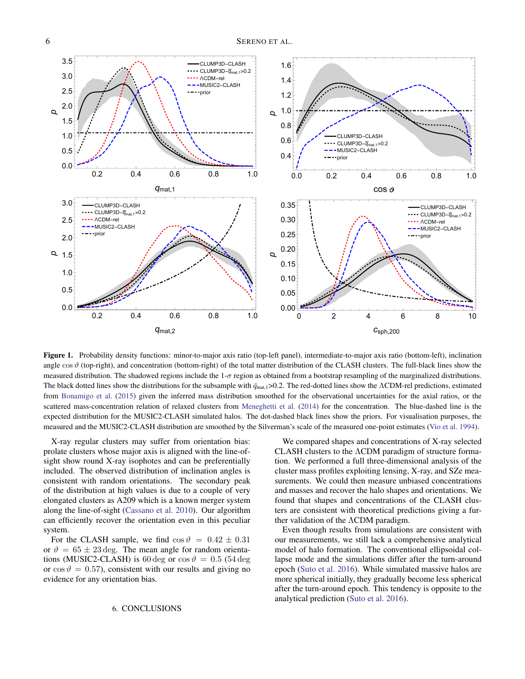

<span id="page-5-0"></span>Figure 1. Probability density functions: minor-to-major axis ratio (top-left panel), intermediate-to-major axis ratio (bottom-left), inclination angle  $\cos \vartheta$  (top-right), and concentration (bottom-right) of the total matter distribution of the CLASH clusters. The full-black lines show the measured distribution. The shadowed regions include the  $1-\sigma$  region as obtained from a bootstrap resampling of the marginalized distributions. The black dotted lines show the distributions for the subsample with  $\bar{q}_{\text{mat},1}$ >0.2. The red-dotted lines show the ΛCDM-rel predictions, estimated from [Bonamigo et al.](#page-6-24) [\(2015\)](#page-6-24) given the inferred mass distribution smoothed for the observational uncertainties for the axial ratios, or the scattered mass-concentration relation of relaxed clusters from [Meneghetti et al.](#page-6-21) [\(2014\)](#page-6-21) for the concentration. The blue-dashed line is the expected distribution for the MUSIC2-CLASH simulated halos. The dot-dashed black lines show the priors. For visualisation purposes, the measured and the MUSIC2-CLASH distribution are smoothed by the Silverman's scale of the measured one-point estimates [\(Vio et al.](#page-7-14) [1994\)](#page-7-14).

X-ray regular clusters may suffer from orientation bias: prolate clusters whose major axis is aligned with the line-ofsight show round X-ray isophotes and can be preferentially included. The observed distribution of inclination angles is consistent with random orientations. The secondary peak of the distribution at high values is due to a couple of very elongated clusters as A209 which is a known merger system along the line-of-sight [\(Cassano et al.](#page-6-31) [2010\)](#page-6-31). Our algorithm can efficiently recover the orientation even in this peculiar system.

For the CLASH sample, we find  $\cos \theta = 0.42 \pm 0.31$ or  $\vartheta = 65 \pm 23 \text{ deg}$ . The mean angle for random orientations (MUSIC2-CLASH) is 60 deg or  $\cos \theta = 0.5$  (54 deg or  $\cos \theta = 0.57$ , consistent with our results and giving no evidence for any orientation bias.

We compared shapes and concentrations of X-ray selected CLASH clusters to the ΛCDM paradigm of structure formation. We performed a full three-dimensional analysis of the cluster mass profiles exploiting lensing, X-ray, and SZe measurements. We could then measure unbiased concentrations and masses and recover the halo shapes and orientations. We found that shapes and concentrations of the CLASH clusters are consistent with theoretical predictions giving a further validation of the ΛCDM paradigm.

Even though results from simulations are consistent with our measurements, we still lack a comprehensive analytical model of halo formation. The conventional ellipsoidal collapse mode and the simulations differ after the turn-around epoch [\(Suto et al.](#page-7-15) [2016\)](#page-7-15). While simulated massive halos are more spherical initially, they gradually become less spherical after the turn-around epoch. This tendency is opposite to the analytical prediction [\(Suto et al.](#page-7-15) [2016\)](#page-7-15).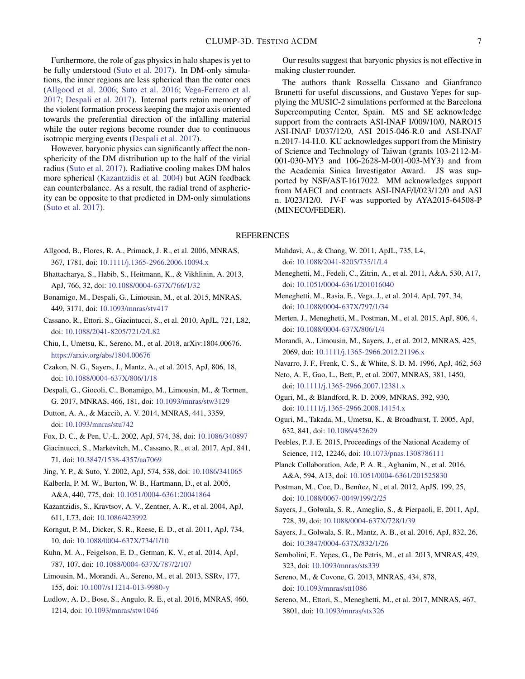Furthermore, the role of gas physics in halo shapes is yet to be fully understood [\(Suto et al.](#page-7-13) [2017\)](#page-7-13). In DM-only simulations, the inner regions are less spherical than the outer ones [\(Allgood et al.](#page-6-25) [2006;](#page-6-25) [Suto et al.](#page-7-15) [2016;](#page-7-15) [Vega-Ferrero et al.](#page-7-11) [2017;](#page-7-11) [Despali et al.](#page-6-32) [2017\)](#page-6-32). Internal parts retain memory of the violent formation process keeping the major axis oriented towards the preferential direction of the infalling material while the outer regions become rounder due to continuous isotropic merging events [\(Despali et al.](#page-6-32) [2017\)](#page-6-32).

However, baryonic physics can significantly affect the nonsphericity of the DM distribution up to the half of the virial radius [\(Suto et al.](#page-7-13) [2017\)](#page-7-13). Radiative cooling makes DM halos more spherical [\(Kazantzidis et al.](#page-6-33) [2004\)](#page-6-33) but AGN feedback can counterbalance. As a result, the radial trend of asphericity can be opposite to that predicted in DM-only simulations [\(Suto et al.](#page-7-13) [2017\)](#page-7-13).

Our results suggest that baryonic physics is not effective in making cluster rounder.

The authors thank Rossella Cassano and Gianfranco Brunetti for useful discussions, and Gustavo Yepes for supplying the MUSIC-2 simulations performed at the Barcelona Supercomputing Center, Spain. MS and SE acknowledge support from the contracts ASI-INAF I/009/10/0, NARO15 ASI-INAF I/037/12/0, ASI 2015-046-R.0 and ASI-INAF n.2017-14-H.0. KU acknowledges support from the Ministry of Science and Technology of Taiwan (grants 103-2112-M-001-030-MY3 and 106-2628-M-001-003-MY3) and from the Academia Sinica Investigator Award. JS was supported by NSF/AST-1617022. MM acknowledges support from MAECI and contracts ASI-INAF/I/023/12/0 and ASI n. I/023/12/0. JV-F was supported by AYA2015-64508-P (MINECO/FEDER).

## REFERENCES

- <span id="page-6-25"></span>Allgood, B., Flores, R. A., Primack, J. R., et al. 2006, MNRAS, 367, 1781, doi: [10.1111/j.1365-2966.2006.10094.x](http://doi.org/10.1111/j.1365-2966.2006.10094.x)
- <span id="page-6-26"></span>Bhattacharya, S., Habib, S., Heitmann, K., & Vikhlinin, A. 2013, ApJ, 766, 32, doi: [10.1088/0004-637X/766/1/32](http://doi.org/10.1088/0004-637X/766/1/32)
- <span id="page-6-24"></span>Bonamigo, M., Despali, G., Limousin, M., et al. 2015, MNRAS, 449, 3171, doi: [10.1093/mnras/stv417](http://doi.org/10.1093/mnras/stv417)
- <span id="page-6-31"></span>Cassano, R., Ettori, S., Giacintucci, S., et al. 2010, ApJL, 721, L82, doi: [10.1088/2041-8205/721/2/L82](http://doi.org/10.1088/2041-8205/721/2/L82)
- <span id="page-6-11"></span>Chiu, I., Umetsu, K., Sereno, M., et al. 2018, arXiv:1804.00676. <https://arxiv.org/abs/1804.00676>
- <span id="page-6-18"></span>Czakon, N. G., Sayers, J., Mantz, A., et al. 2015, ApJ, 806, 18, doi: [10.1088/0004-637X/806/1/18](http://doi.org/10.1088/0004-637X/806/1/18)
- <span id="page-6-32"></span>Despali, G., Giocoli, C., Bonamigo, M., Limousin, M., & Tormen, G. 2017, MNRAS, 466, 181, doi: [10.1093/mnras/stw3129](http://doi.org/10.1093/mnras/stw3129)
- <span id="page-6-27"></span>Dutton, A. A., & Macciò, A. V. 2014, MNRAS, 441, 3359, doi: [10.1093/mnras/stu742](http://doi.org/10.1093/mnras/stu742)
- <span id="page-6-8"></span>Fox, D. C., & Pen, U.-L. 2002, ApJ, 574, 38, doi: [10.1086/340897](http://doi.org/10.1086/340897)
- <span id="page-6-30"></span>Giacintucci, S., Markevitch, M., Cassano, R., et al. 2017, ApJ, 841, 71, doi: [10.3847/1538-4357/aa7069](http://doi.org/10.3847/1538-4357/aa7069)
- <span id="page-6-5"></span>Jing, Y. P., & Suto, Y. 2002, ApJ, 574, 538, doi: [10.1086/341065](http://doi.org/10.1086/341065)
- <span id="page-6-15"></span>Kalberla, P. M. W., Burton, W. B., Hartmann, D., et al. 2005, A&A, 440, 775, doi: [10.1051/0004-6361:20041864](http://doi.org/10.1051/0004-6361:20041864)
- <span id="page-6-33"></span>Kazantzidis, S., Kravtsov, A. V., Zentner, A. R., et al. 2004, ApJ, 611, L73, doi: [10.1086/423992](http://doi.org/10.1086/423992)
- <span id="page-6-29"></span>Korngut, P. M., Dicker, S. R., Reese, E. D., et al. 2011, ApJ, 734, 10, doi: [10.1088/0004-637X/734/1/10](http://doi.org/10.1088/0004-637X/734/1/10)
- <span id="page-6-13"></span>Kuhn, M. A., Feigelson, E. D., Getman, K. V., et al. 2014, ApJ, 787, 107, doi: [10.1088/0004-637X/787/2/107](http://doi.org/10.1088/0004-637X/787/2/107)
- <span id="page-6-4"></span>Limousin, M., Morandi, A., Sereno, M., et al. 2013, SSRv, 177, 155, doi: [10.1007/s11214-013-9980-y](http://doi.org/10.1007/s11214-013-9980-y)
- <span id="page-6-28"></span>Ludlow, A. D., Bose, S., Angulo, R. E., et al. 2016, MNRAS, 460, 1214, doi: [10.1093/mnras/stw1046](http://doi.org/10.1093/mnras/stw1046)
- <span id="page-6-9"></span>Mahdavi, A., & Chang, W. 2011, ApJL, 735, L4, doi: [10.1088/2041-8205/735/1/L4](http://doi.org/10.1088/2041-8205/735/1/L4)
- <span id="page-6-3"></span>Meneghetti, M., Fedeli, C., Zitrin, A., et al. 2011, A&A, 530, A17, doi: [10.1051/0004-6361/201016040](http://doi.org/10.1051/0004-6361/201016040)
- <span id="page-6-21"></span>Meneghetti, M., Rasia, E., Vega, J., et al. 2014, ApJ, 797, 34, doi: [10.1088/0004-637X/797/1/34](http://doi.org/10.1088/0004-637X/797/1/34)
- <span id="page-6-14"></span>Merten, J., Meneghetti, M., Postman, M., et al. 2015, ApJ, 806, 4, doi: [10.1088/0004-637X/806/1/4](http://doi.org/10.1088/0004-637X/806/1/4)
- <span id="page-6-7"></span>Morandi, A., Limousin, M., Sayers, J., et al. 2012, MNRAS, 425, 2069, doi: [10.1111/j.1365-2966.2012.21196.x](http://doi.org/10.1111/j.1365-2966.2012.21196.x)
- <span id="page-6-23"></span><span id="page-6-19"></span>Navarro, J. F., Frenk, C. S., & White, S. D. M. 1996, ApJ, 462, 563
- Neto, A. F., Gao, L., Bett, P., et al. 2007, MNRAS, 381, 1450, doi: [10.1111/j.1365-2966.2007.12381.x](http://doi.org/10.1111/j.1365-2966.2007.12381.x)
- <span id="page-6-2"></span>Oguri, M., & Blandford, R. D. 2009, MNRAS, 392, 930, doi: [10.1111/j.1365-2966.2008.14154.x](http://doi.org/10.1111/j.1365-2966.2008.14154.x)
- <span id="page-6-6"></span>Oguri, M., Takada, M., Umetsu, K., & Broadhurst, T. 2005, ApJ, 632, 841, doi: [10.1086/452629](http://doi.org/10.1086/452629)
- <span id="page-6-0"></span>Peebles, P. J. E. 2015, Proceedings of the National Academy of Science, 112, 12246, doi: [10.1073/pnas.1308786111](http://doi.org/10.1073/pnas.1308786111)
- <span id="page-6-1"></span>Planck Collaboration, Ade, P. A. R., Aghanim, N., et al. 2016, A&A, 594, A13, doi: [10.1051/0004-6361/201525830](http://doi.org/10.1051/0004-6361/201525830)
- <span id="page-6-12"></span>Postman, M., Coe, D., Benítez, N., et al. 2012, ApJS, 199, 25, doi: [10.1088/0067-0049/199/2/25](http://doi.org/10.1088/0067-0049/199/2/25)
- <span id="page-6-16"></span>Sayers, J., Golwala, S. R., Ameglio, S., & Pierpaoli, E. 2011, ApJ, 728, 39, doi: [10.1088/0004-637X/728/1/39](http://doi.org/10.1088/0004-637X/728/1/39)
- <span id="page-6-17"></span>Sayers, J., Golwala, S. R., Mantz, A. B., et al. 2016, ApJ, 832, 26, doi: [10.3847/0004-637X/832/1/26](http://doi.org/10.3847/0004-637X/832/1/26)
- <span id="page-6-22"></span>Sembolini, F., Yepes, G., De Petris, M., et al. 2013, MNRAS, 429, 323, doi: [10.1093/mnras/sts339](http://doi.org/10.1093/mnras/sts339)
- <span id="page-6-20"></span>Sereno, M., & Covone, G. 2013, MNRAS, 434, 878, doi: [10.1093/mnras/stt1086](http://doi.org/10.1093/mnras/stt1086)
- <span id="page-6-10"></span>Sereno, M., Ettori, S., Meneghetti, M., et al. 2017, MNRAS, 467, 3801, doi: [10.1093/mnras/stx326](http://doi.org/10.1093/mnras/stx326)